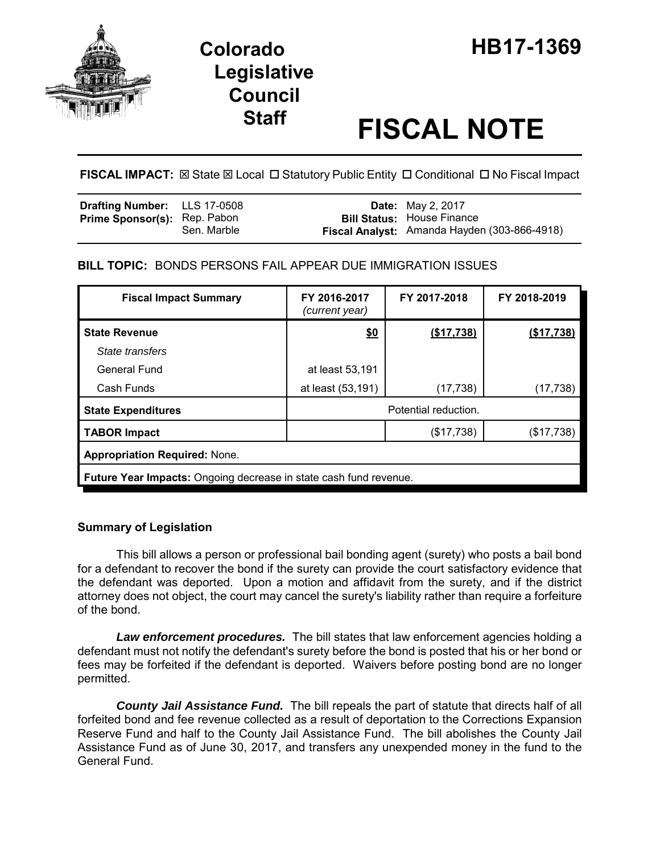

# **Legislative Council**

# **Staff FISCAL NOTE**

**FISCAL IMPACT:**  $\boxtimes$  **State**  $\boxtimes$  **Local □ Statutory Public Entity □ Conditional □ No Fiscal Impact** 

| <b>Drafting Number:</b> LLS 17-0508 |             | <b>Date:</b> May 2, 2017                                                          |
|-------------------------------------|-------------|-----------------------------------------------------------------------------------|
| <b>Prime Sponsor(s): Rep. Pabon</b> | Sen. Marble | <b>Bill Status: House Finance</b><br>Fiscal Analyst: Amanda Hayden (303-866-4918) |

## **BILL TOPIC:** BONDS PERSONS FAIL APPEAR DUE IMMIGRATION ISSUES

| <b>Fiscal Impact Summary</b>                                      | FY 2016-2017<br>(current year) | FY 2017-2018 | FY 2018-2019 |  |  |
|-------------------------------------------------------------------|--------------------------------|--------------|--------------|--|--|
| <b>State Revenue</b>                                              | \$0                            | (\$17,738)   | (\$17,738)   |  |  |
| State transfers                                                   |                                |              |              |  |  |
| General Fund                                                      | at least 53,191                |              |              |  |  |
| Cash Funds                                                        | at least (53,191)              | (17, 738)    | (17,738)     |  |  |
| <b>State Expenditures</b>                                         | Potential reduction.           |              |              |  |  |
| <b>TABOR Impact</b>                                               |                                | (\$17,738)   | (\$17,738)   |  |  |
| <b>Appropriation Required: None.</b>                              |                                |              |              |  |  |
| Future Year Impacts: Ongoing decrease in state cash fund revenue. |                                |              |              |  |  |

### **Summary of Legislation**

This bill allows a person or professional bail bonding agent (surety) who posts a bail bond for a defendant to recover the bond if the surety can provide the court satisfactory evidence that the defendant was deported. Upon a motion and affidavit from the surety, and if the district attorney does not object, the court may cancel the surety's liability rather than require a forfeiture of the bond.

*Law enforcement procedures.* The bill states that law enforcement agencies holding a defendant must not notify the defendant's surety before the bond is posted that his or her bond or fees may be forfeited if the defendant is deported. Waivers before posting bond are no longer permitted.

*County Jail Assistance Fund.* The bill repeals the part of statute that directs half of all forfeited bond and fee revenue collected as a result of deportation to the Corrections Expansion Reserve Fund and half to the County Jail Assistance Fund. The bill abolishes the County Jail Assistance Fund as of June 30, 2017, and transfers any unexpended money in the fund to the General Fund.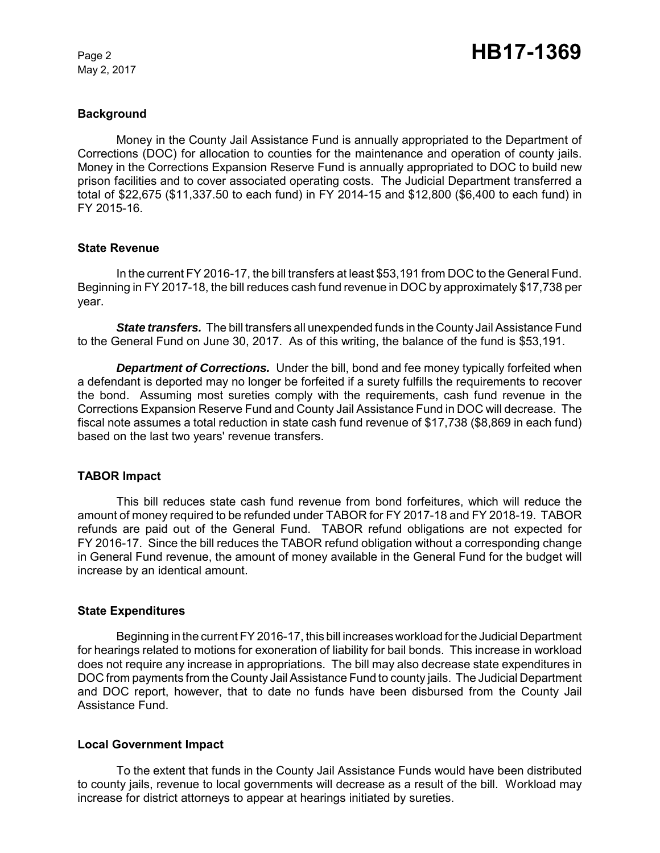May 2, 2017

#### **Background**

Money in the County Jail Assistance Fund is annually appropriated to the Department of Corrections (DOC) for allocation to counties for the maintenance and operation of county jails. Money in the Corrections Expansion Reserve Fund is annually appropriated to DOC to build new prison facilities and to cover associated operating costs. The Judicial Department transferred a total of \$22,675 (\$11,337.50 to each fund) in FY 2014-15 and \$12,800 (\$6,400 to each fund) in FY 2015-16.

#### **State Revenue**

In the current FY 2016-17, the bill transfers at least \$53,191 from DOC to the General Fund. Beginning in FY 2017-18, the bill reduces cash fund revenue in DOC by approximately \$17,738 per year.

*State transfers.* The bill transfers all unexpended funds in the County Jail Assistance Fund to the General Fund on June 30, 2017. As of this writing, the balance of the fund is \$53,191.

**Department of Corrections.** Under the bill, bond and fee money typically forfeited when a defendant is deported may no longer be forfeited if a surety fulfills the requirements to recover the bond. Assuming most sureties comply with the requirements, cash fund revenue in the Corrections Expansion Reserve Fund and County Jail Assistance Fund in DOC will decrease. The fiscal note assumes a total reduction in state cash fund revenue of \$17,738 (\$8,869 in each fund) based on the last two years' revenue transfers.

#### **TABOR Impact**

This bill reduces state cash fund revenue from bond forfeitures, which will reduce the amount of money required to be refunded under TABOR for FY 2017-18 and FY 2018-19. TABOR refunds are paid out of the General Fund. TABOR refund obligations are not expected for FY 2016-17. Since the bill reduces the TABOR refund obligation without a corresponding change in General Fund revenue, the amount of money available in the General Fund for the budget will increase by an identical amount.

#### **State Expenditures**

Beginning in the current FY 2016-17, this bill increases workload for the Judicial Department for hearings related to motions for exoneration of liability for bail bonds. This increase in workload does not require any increase in appropriations. The bill may also decrease state expenditures in DOC from payments from the County Jail Assistance Fund to county jails. The Judicial Department and DOC report, however, that to date no funds have been disbursed from the County Jail Assistance Fund.

#### **Local Government Impact**

To the extent that funds in the County Jail Assistance Funds would have been distributed to county jails, revenue to local governments will decrease as a result of the bill. Workload may increase for district attorneys to appear at hearings initiated by sureties.